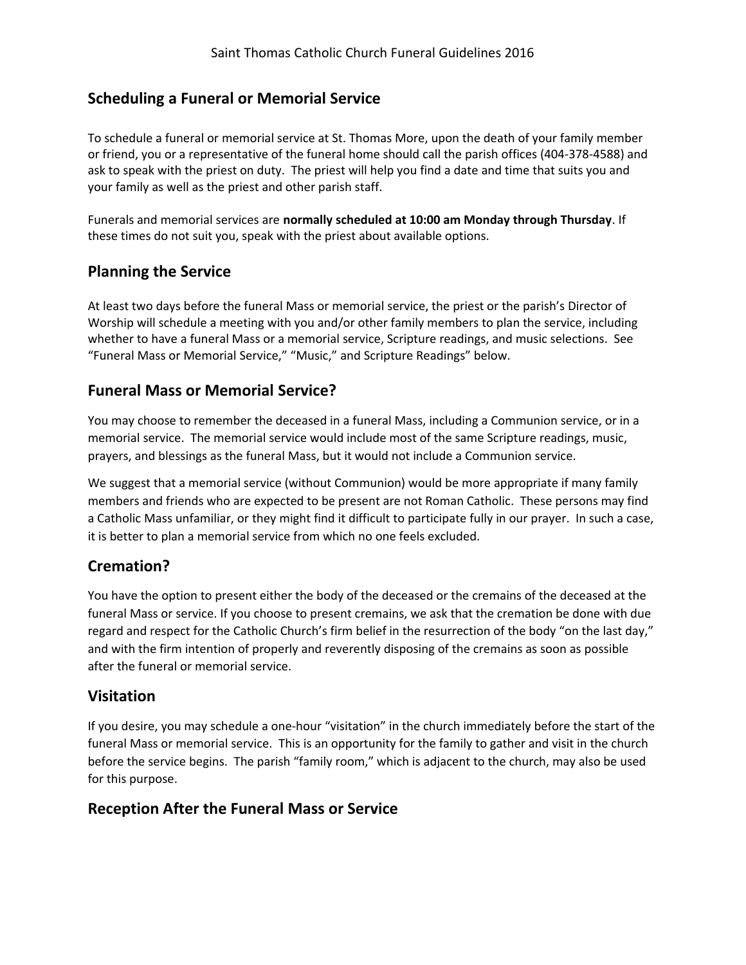## **Scheduling a Funeral or Memorial Service**

To schedule a funeral or memorial service at St. Thomas More, upon the death of your family member or friend, you or a representative of the funeral home should call the parish offices (404-378-4588) and ask to speak with the priest on duty. The priest will help you find a date and time that suits you and your family as well as the priest and other parish staff.

Funerals and memorial services are **normally scheduled at 10:00 am Monday through Thursday**. If these times do not suit you, speak with the priest about available options.

## **Planning the Service**

At least two days before the funeral Mass or memorial service, the priest or the parish's Director of Worship will schedule a meeting with you and/or other family members to plan the service, including whether to have a funeral Mass or a memorial service, Scripture readings, and music selections. See "Funeral Mass or Memorial Service," "Music," and Scripture Readings" below.

### **Funeral Mass or Memorial Service?**

You may choose to remember the deceased in a funeral Mass, including a Communion service, or in a memorial service. The memorial service would include most of the same Scripture readings, music, prayers, and blessings as the funeral Mass, but it would not include a Communion service.

We suggest that a memorial service (without Communion) would be more appropriate if many family members and friends who are expected to be present are not Roman Catholic. These persons may find a Catholic Mass unfamiliar, or they might find it difficult to participate fully in our prayer. In such a case, it is better to plan a memorial service from which no one feels excluded.

## **Cremation?**

You have the option to present either the body of the deceased or the cremains of the deceased at the funeral Mass or service. If you choose to present cremains, we ask that the cremation be done with due regard and respect for the Catholic Church's firm belief in the resurrection of the body "on the last day," and with the firm intention of properly and reverently disposing of the cremains as soon as possible after the funeral or memorial service.

#### **Visitation**

If you desire, you may schedule a one-hour "visitation" in the church immediately before the start of the funeral Mass or memorial service. This is an opportunity for the family to gather and visit in the church before the service begins. The parish "family room," which is adjacent to the church, may also be used for this purpose.

#### **Reception After the Funeral Mass or Service**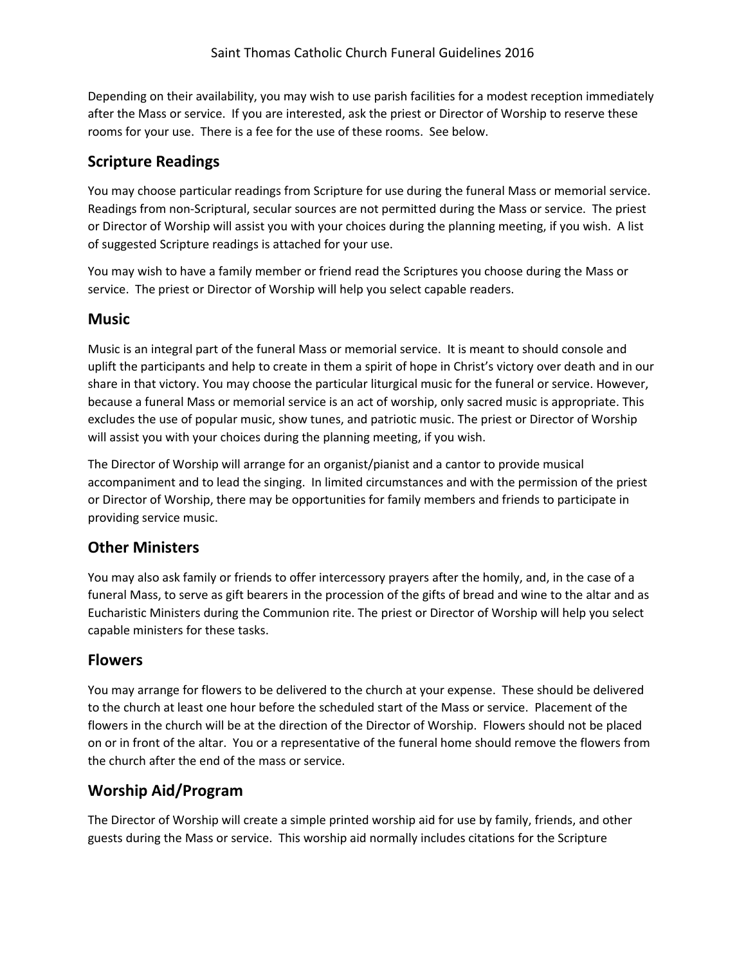Depending on their availability, you may wish to use parish facilities for a modest reception immediately after the Mass or service. If you are interested, ask the priest or Director of Worship to reserve these rooms for your use. There is a fee for the use of these rooms. See below.

# **Scripture Readings**

You may choose particular readings from Scripture for use during the funeral Mass or memorial service. Readings from non-Scriptural, secular sources are not permitted during the Mass or service. The priest or Director of Worship will assist you with your choices during the planning meeting, if you wish. A list of suggested Scripture readings is attached for your use.

You may wish to have a family member or friend read the Scriptures you choose during the Mass or service. The priest or Director of Worship will help you select capable readers.

### **Music**

Music is an integral part of the funeral Mass or memorial service. It is meant to should console and uplift the participants and help to create in them a spirit of hope in Christ's victory over death and in our share in that victory. You may choose the particular liturgical music for the funeral or service. However, because a funeral Mass or memorial service is an act of worship, only sacred music is appropriate. This excludes the use of popular music, show tunes, and patriotic music. The priest or Director of Worship will assist you with your choices during the planning meeting, if you wish.

The Director of Worship will arrange for an organist/pianist and a cantor to provide musical accompaniment and to lead the singing. In limited circumstances and with the permission of the priest or Director of Worship, there may be opportunities for family members and friends to participate in providing service music.

# **Other Ministers**

You may also ask family or friends to offer intercessory prayers after the homily, and, in the case of a funeral Mass, to serve as gift bearers in the procession of the gifts of bread and wine to the altar and as Eucharistic Ministers during the Communion rite. The priest or Director of Worship will help you select capable ministers for these tasks.

## **Flowers**

You may arrange for flowers to be delivered to the church at your expense. These should be delivered to the church at least one hour before the scheduled start of the Mass or service. Placement of the flowers in the church will be at the direction of the Director of Worship. Flowers should not be placed on or in front of the altar. You or a representative of the funeral home should remove the flowers from the church after the end of the mass or service.

# **Worship Aid/Program**

The Director of Worship will create a simple printed worship aid for use by family, friends, and other guests during the Mass or service. This worship aid normally includes citations for the Scripture